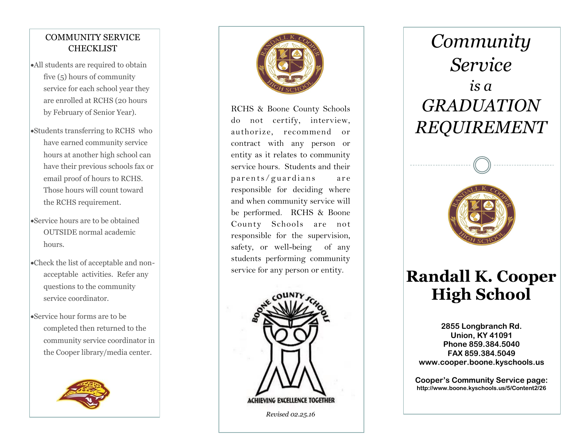#### COMMUNITY SERVICE **CHECKLIST**

- All students are required to obtain five (5) hours of community service for each school year they are enrolled at RCHS (20 hours by February of Senior Year).
- Students transferring to RCHS who have earned community service hours at another high school can have their previous schools fax or email proof of hours to RCHS. Those hours will count toward the RCHS requirement.
- Service hours are to be obtained OUTSIDE normal academic hours.
- Check the list of acceptable and non acceptable activities. Refer any questions to the community service coordinator.
- Service hour forms are to be completed then returned to the community service coordinator in the Cooper library/media center.





RCHS & Boone County Schools do not certify, interview, authorize, recommend or contract with any person or entity as it relates to community service hours. Students and their parents/guardians are responsible for deciding where and when community service will be performed. RCHS & Boone County Schools are not responsible for the supervision, safety, or well -being of any students performing community service for any person or entity.



 *Revised 02.25.16*

# *Community Service is a GRADUATION REQUIREMENT*



## **Randall K. Cooper High School**

**2855 Longbranch Rd. Union, KY 41091 Phone 859.384.5040 FAX 859.384.5049 www.cooper.boone.kyschools.us**

**Cooper's Community Service page: http://www.boone.kyschools.us/5/Content2/26**